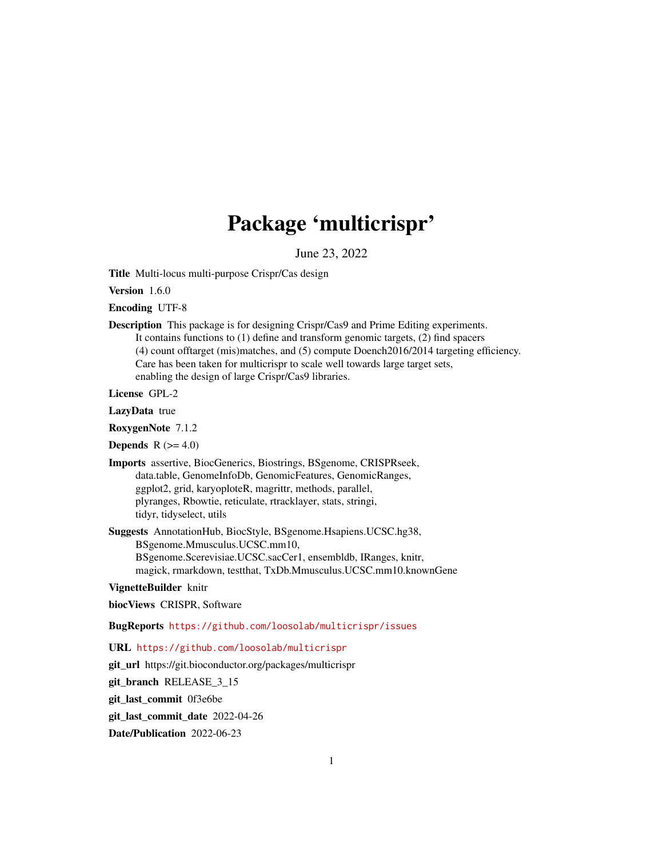# Package 'multicrispr'

June 23, 2022

<span id="page-0-0"></span>Title Multi-locus multi-purpose Crispr/Cas design

Version 1.6.0

Encoding UTF-8

Description This package is for designing Crispr/Cas9 and Prime Editing experiments. It contains functions to (1) define and transform genomic targets, (2) find spacers (4) count offtarget (mis)matches, and (5) compute Doench2016/2014 targeting efficiency. Care has been taken for multicrispr to scale well towards large target sets, enabling the design of large Crispr/Cas9 libraries.

License GPL-2

LazyData true

RoxygenNote 7.1.2

**Depends**  $R$  ( $>= 4.0$ )

Imports assertive, BiocGenerics, Biostrings, BSgenome, CRISPRseek, data.table, GenomeInfoDb, GenomicFeatures, GenomicRanges, ggplot2, grid, karyoploteR, magrittr, methods, parallel, plyranges, Rbowtie, reticulate, rtracklayer, stats, stringi, tidyr, tidyselect, utils

Suggests AnnotationHub, BiocStyle, BSgenome.Hsapiens.UCSC.hg38, BSgenome.Mmusculus.UCSC.mm10, BSgenome.Scerevisiae.UCSC.sacCer1, ensembldb, IRanges, knitr, magick, rmarkdown, testthat, TxDb.Mmusculus.UCSC.mm10.knownGene

VignetteBuilder knitr

biocViews CRISPR, Software

BugReports <https://github.com/loosolab/multicrispr/issues>

URL <https://github.com/loosolab/multicrispr>

git\_url https://git.bioconductor.org/packages/multicrispr

git\_branch RELEASE\_3\_15

git\_last\_commit 0f3e6be

git last commit date 2022-04-26

Date/Publication 2022-06-23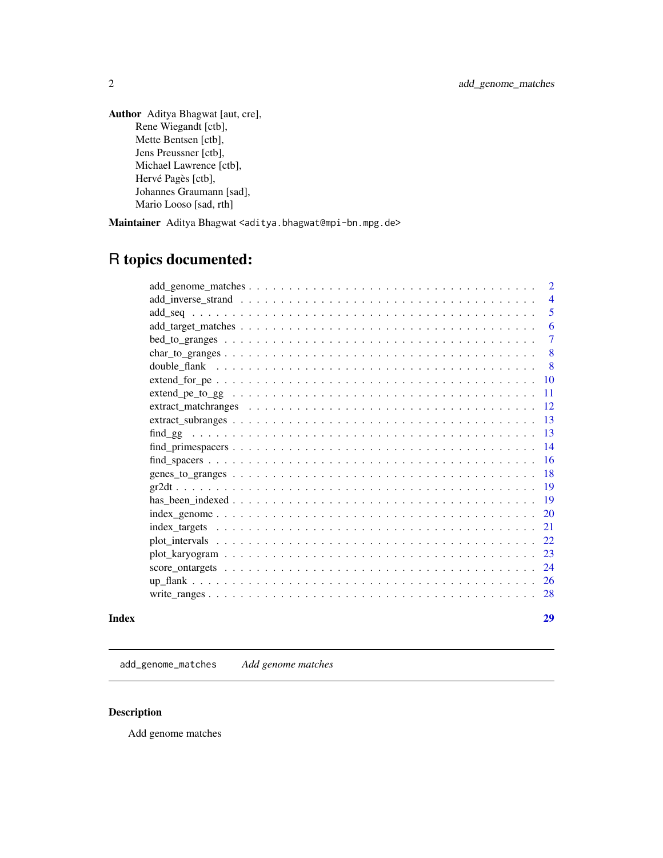<span id="page-1-0"></span>Author Aditya Bhagwat [aut, cre], Rene Wiegandt [ctb], Mette Bentsen [ctb], Jens Preussner [ctb], Michael Lawrence [ctb], Hervé Pagès [ctb], Johannes Graumann [sad], Mario Looso [sad, rth]

Maintainer Aditya Bhagwat <aditya.bhagwat@mpi-bn.mpg.de>

## R topics documented:

|                   |  |  | $\overline{2}$  |
|-------------------|--|--|-----------------|
|                   |  |  | $\overline{4}$  |
|                   |  |  | 5               |
|                   |  |  | 6               |
|                   |  |  | $\overline{7}$  |
|                   |  |  | 8               |
|                   |  |  | 8               |
|                   |  |  | 10              |
| $extend_p = to_g$ |  |  | 11              |
|                   |  |  | 12              |
|                   |  |  | $\overline{13}$ |
|                   |  |  | 13              |
|                   |  |  | - 14            |
|                   |  |  | -16             |
|                   |  |  | -18             |
|                   |  |  | -19             |
|                   |  |  | - 19            |
|                   |  |  | - 20            |
|                   |  |  |                 |
|                   |  |  | 22              |
|                   |  |  |                 |
|                   |  |  | 24              |
|                   |  |  |                 |
|                   |  |  | 28              |
|                   |  |  |                 |

#### **Index** [29](#page-28-0)

add\_genome\_matches *Add genome matches*

#### Description

Add genome matches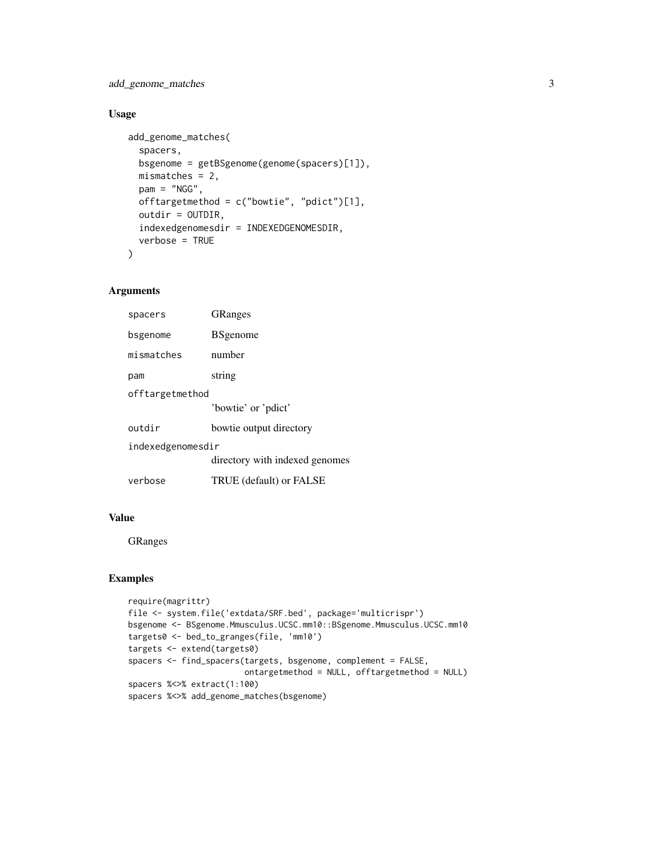add\_genome\_matches 3

#### Usage

```
add_genome_matches(
  spacers,
  bsgenome = getBSgenome(genome(spacers)[1]),
 mismatches = 2,
  pam = "NGG",
  offtargetmethod = c("bowtie", "pdict")[1],
  outdir = OUTDIR,
  indexedgenomesdir = INDEXEDGENOMESDIR,
  verbose = TRUE
)
```
#### Arguments

| spacers           | <b>GRanges</b>                 |  |
|-------------------|--------------------------------|--|
| bsgenome          | <b>B</b> Sgenome               |  |
| mismatches        | number                         |  |
| pam               | string                         |  |
| offtargetmethod   |                                |  |
|                   | 'bowtie' or 'pdict'            |  |
| outdir            | bowtie output directory        |  |
| indexedgenomesdir |                                |  |
|                   | directory with indexed genomes |  |
| verbose           | TRUE (default) or FALSE        |  |
|                   |                                |  |

#### Value

GRanges

```
require(magrittr)
file <- system.file('extdata/SRF.bed', package='multicrispr')
bsgenome <- BSgenome.Mmusculus.UCSC.mm10::BSgenome.Mmusculus.UCSC.mm10
targets0 <- bed_to_granges(file, 'mm10')
targets <- extend(targets0)
spacers <- find_spacers(targets, bsgenome, complement = FALSE,
                        ontargetmethod = NULL, offtargetmethod = NULL)
spacers %<>% extract(1:100)
spacers %<>% add_genome_matches(bsgenome)
```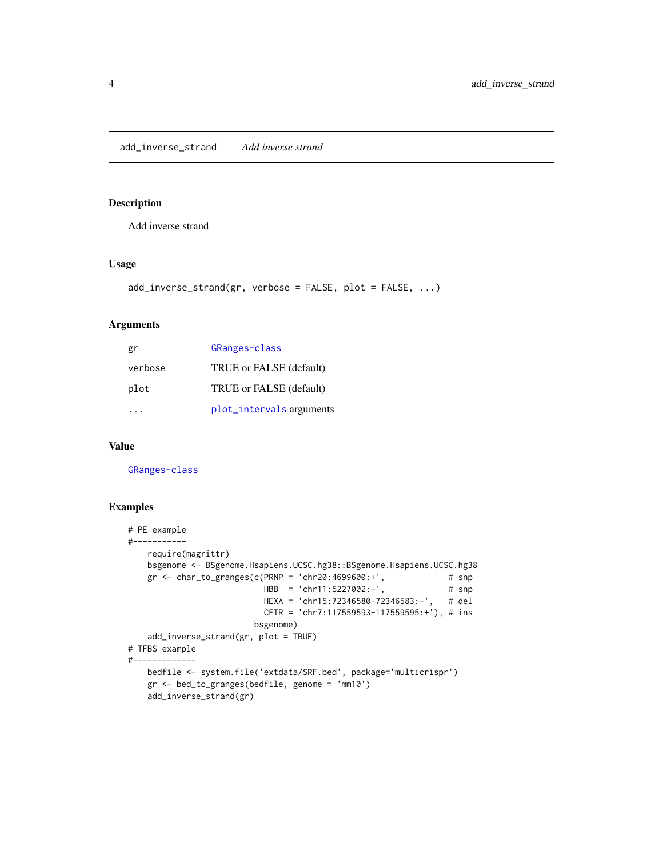<span id="page-3-0"></span>add\_inverse\_strand *Add inverse strand*

#### Description

Add inverse strand

#### Usage

```
add_inverse_strand(gr, verbose = FALSE, plot = FALSE, ...)
```
#### Arguments

| gr      | GRanges-class            |
|---------|--------------------------|
| verbose | TRUE or FALSE (default)  |
| plot    | TRUE or FALSE (default)  |
|         | plot_intervals arguments |

#### Value

[GRanges-class](#page-0-0)

```
# PE example
#-----------
   require(magrittr)
   bsgenome <- BSgenome.Hsapiens.UCSC.hg38::BSgenome.Hsapiens.UCSC.hg38
   gr <- char_to_granges(c(PRNP = 'chr20:4699600:+', \qquad # snp
                          HBB = 'chr11:5227002:-', # snp
                          HEXA = 'chr15:72346580-72346583:-', # del
                          CFTR = 'chr7:117559593-117559595:+'), # ins
                        bsgenome)
   add_inverse_strand(gr, plot = TRUE)
# TFBS example
#-------------
   bedfile <- system.file('extdata/SRF.bed', package='multicrispr')
   gr <- bed_to_granges(bedfile, genome = 'mm10')
   add_inverse_strand(gr)
```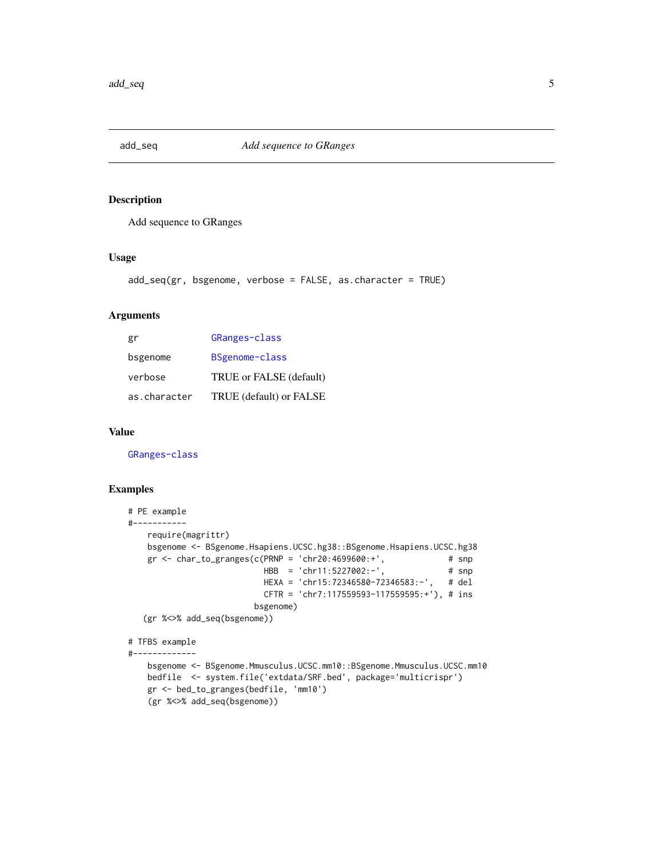<span id="page-4-0"></span>

#### Description

Add sequence to GRanges

#### Usage

```
add_seq(gr, bsgenome, verbose = FALSE, as.character = TRUE)
```
#### Arguments

| gr           | GRanges-class           |
|--------------|-------------------------|
| bsgenome     | BSgenome-class          |
| verbose      | TRUE or FALSE (default) |
| as.character | TRUE (default) or FALSE |

#### Value

[GRanges-class](#page-0-0)

```
# PE example
#-----------
   require(magrittr)
   bsgenome <- BSgenome.Hsapiens.UCSC.hg38::BSgenome.Hsapiens.UCSC.hg38
   gr <- char_to_granges(c(PRNP = 'chr20:4699600:+', # snp
                          HBB = 'chr11:5227002:-', # snp
                          HEXA = 'chr15:72346580-72346583:-', # del
                          CFTR = 'chr7:117559593-117559595:+'), # ins
                        bsgenome)
  (gr %<>% add_seq(bsgenome))
# TFBS example
#-------------
   bsgenome <- BSgenome.Mmusculus.UCSC.mm10::BSgenome.Mmusculus.UCSC.mm10
   bedfile <- system.file('extdata/SRF.bed', package='multicrispr')
   gr <- bed_to_granges(bedfile, 'mm10')
```

```
(gr %<>% add_seq(bsgenome))
```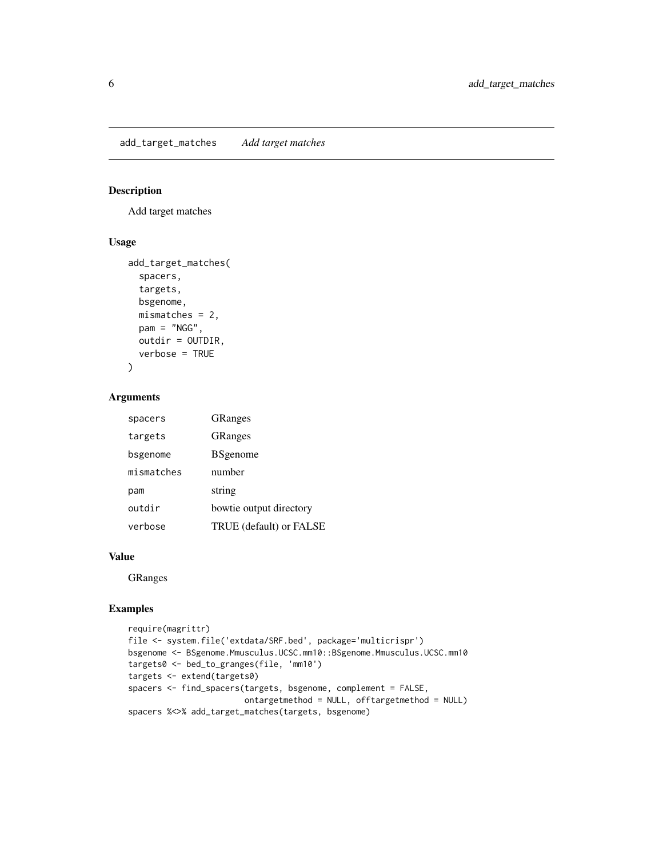<span id="page-5-0"></span>add\_target\_matches *Add target matches*

### Description

Add target matches

#### Usage

```
add_target_matches(
  spacers,
  targets,
  bsgenome,
 mismatches = 2,
 pam = "NGG",outdir = OUTDIR,
  verbose = TRUE
)
```
#### Arguments

| spacers    | <b>GRanges</b>          |
|------------|-------------------------|
| targets    | <b>GRanges</b>          |
| bsgenome   | <b>B</b> Sgenome        |
| mismatches | number                  |
| pam        | string                  |
| outdir     | bowtie output directory |
| verbose    | TRUE (default) or FALSE |

#### Value

GRanges

```
require(magrittr)
file <- system.file('extdata/SRF.bed', package='multicrispr')
bsgenome <- BSgenome.Mmusculus.UCSC.mm10::BSgenome.Mmusculus.UCSC.mm10
targets0 <- bed_to_granges(file, 'mm10')
targets <- extend(targets0)
spacers <- find_spacers(targets, bsgenome, complement = FALSE,
                       ontargetmethod = NULL, offtargetmethod = NULL)
spacers %<>% add_target_matches(targets, bsgenome)
```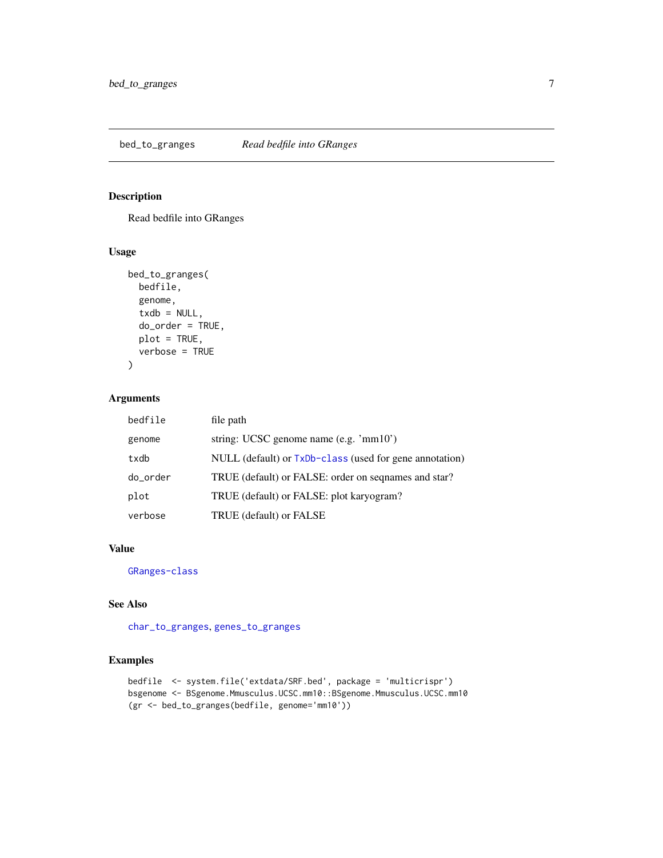<span id="page-6-1"></span><span id="page-6-0"></span>bed\_to\_granges *Read bedfile into GRanges*

### Description

Read bedfile into GRanges

#### Usage

```
bed_to_granges(
  bedfile,
  genome,
  txdb = NULL,do_order = TRUE,
  plot = TRUE,
  verbose = TRUE
\overline{\phantom{a}}
```
#### Arguments

| bedfile  | file path                                               |
|----------|---------------------------------------------------------|
| genome   | string: UCSC genome name $(e.g. \n'mm10')$              |
| txdb     | NULL (default) or TxDb-class (used for gene annotation) |
| do_order | TRUE (default) or FALSE: order on seqnames and star?    |
| plot     | TRUE (default) or FALSE: plot karyogram?                |
| verbose  | TRUE (default) or FALSE                                 |

#### Value

[GRanges-class](#page-0-0)

#### See Also

[char\\_to\\_granges](#page-7-1), [genes\\_to\\_granges](#page-17-1)

```
bedfile <- system.file('extdata/SRF.bed', package = 'multicrispr')
bsgenome <- BSgenome.Mmusculus.UCSC.mm10::BSgenome.Mmusculus.UCSC.mm10
(gr <- bed_to_granges(bedfile, genome='mm10'))
```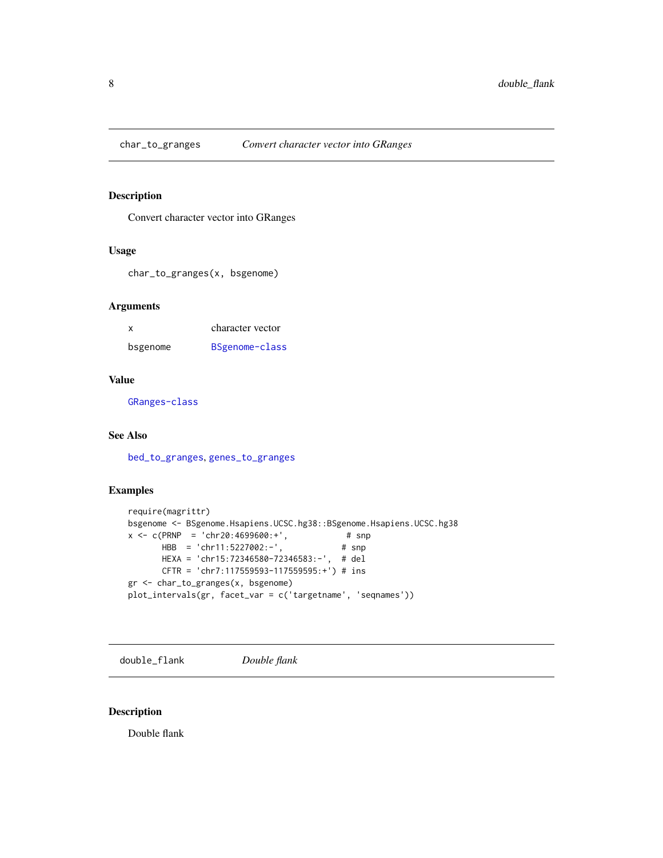<span id="page-7-1"></span><span id="page-7-0"></span>

#### Description

Convert character vector into GRanges

#### Usage

char\_to\_granges(x, bsgenome)

#### Arguments

| x        | character vector |
|----------|------------------|
| bsgenome | BSgenome-class   |

#### Value

[GRanges-class](#page-0-0)

#### See Also

[bed\\_to\\_granges](#page-6-1), [genes\\_to\\_granges](#page-17-1)

#### Examples

```
require(magrittr)
bsgenome <- BSgenome.Hsapiens.UCSC.hg38::BSgenome.Hsapiens.UCSC.hg38
x <- c(PRNP = 'chr20:4699600:+', # snp
       HBB = 'chr11:5227002:-', # snp
      HEXA = 'chr15:72346580-72346583:-', # del
      CFTR = 'chr7:117559593-117559595:+') # ins
gr <- char_to_granges(x, bsgenome)
plot_intervals(gr, facet_var = c('targetname', 'seqnames'))
```
double\_flank *Double flank*

#### Description

Double flank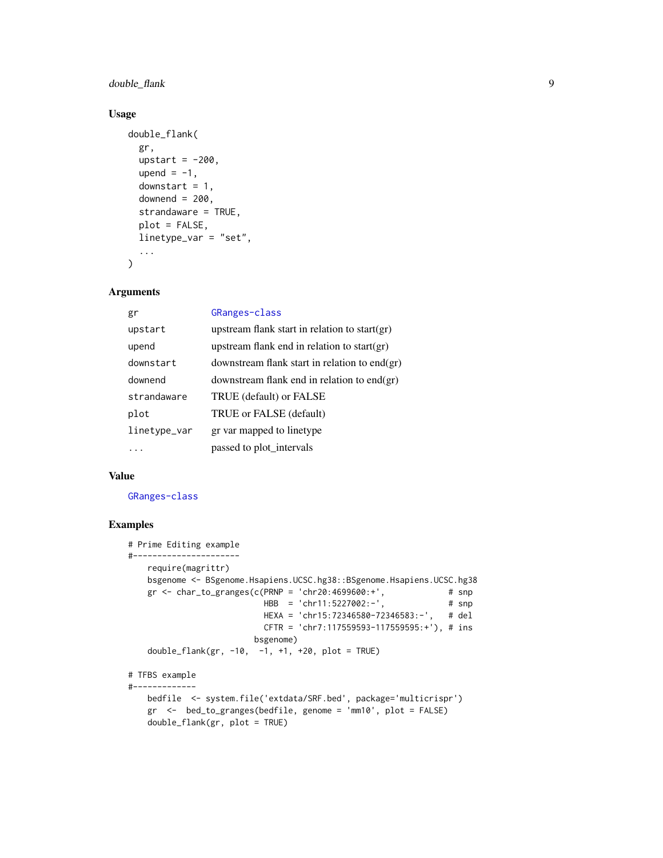double\_flank 9

#### Usage

```
double_flank(
  gr,
  upstart = -200,
  upend = -1,
  downstart = 1,
  downend = 200,
  strandaware = TRUE,
  plot = FALSE,
  linetype_var = "set",
  ...
)
```
#### Arguments

| gr           | GRanges-class                                    |
|--------------|--------------------------------------------------|
| upstart      | upstream flank start in relation to start(gr)    |
| upend        | upstream flank end in relation to start(gr)      |
| downstart    | downstream flank start in relation to end $(gr)$ |
| downend      | downstream flank end in relation to end $(gr)$   |
| strandaware  | TRUE (default) or FALSE                          |
| plot         | TRUE or FALSE (default)                          |
| linetype_var | gr var mapped to linetype                        |
|              | passed to plot_intervals                         |

#### Value

[GRanges-class](#page-0-0)

```
# Prime Editing example
#----------------------
   require(magrittr)
   bsgenome <- BSgenome.Hsapiens.UCSC.hg38::BSgenome.Hsapiens.UCSC.hg38
   gr \le - char_to_granges(c(PRNP = 'chr20:4699600:+', # snp
                          HBB = 'chr11:5227002:-', \t # snpHEXA = 'chr15:72346580-72346583:-', # del
                          CFTR = 'chr7:117559593-117559595:+'), # ins
                        bsgenome)
   double_flank(gr, -10, -1, +1, +20, plot = TRUE)
# TFBS example
#-------------
   bedfile <- system.file('extdata/SRF.bed', package='multicrispr')
   gr <- bed_to_granges(bedfile, genome = 'mm10', plot = FALSE)
   double_flank(gr, plot = TRUE)
```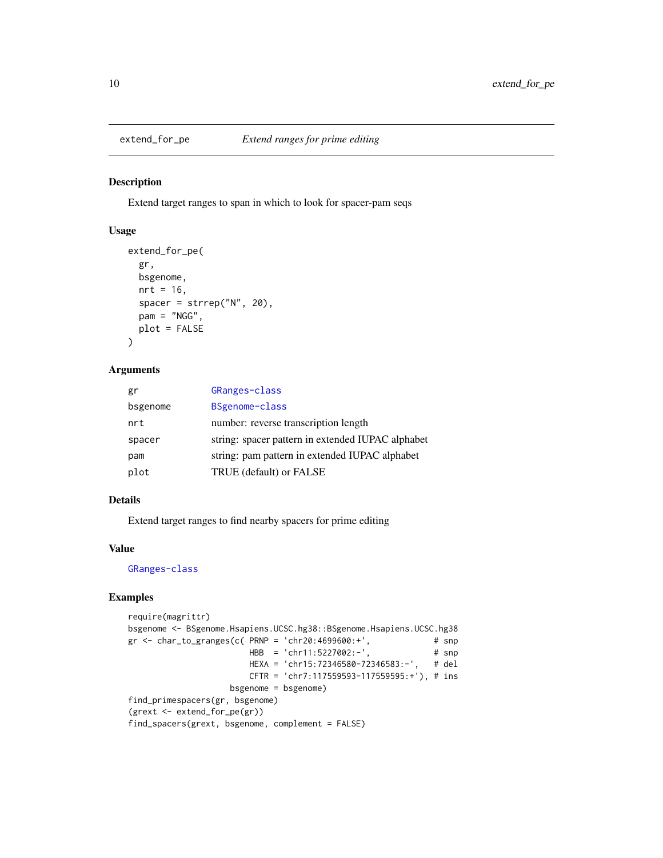<span id="page-9-0"></span>

#### Description

Extend target ranges to span in which to look for spacer-pam seqs

#### Usage

```
extend_for_pe(
  gr,
 bsgenome,
 nrt = 16,
  spacer = strrep("N", 20),
 pam = "NGG",plot = FALSE
)
```
#### Arguments

| gr       | GRanges-class                                     |
|----------|---------------------------------------------------|
| bsgenome | BSgenome-class                                    |
| nrt      | number: reverse transcription length              |
| spacer   | string: spacer pattern in extended IUPAC alphabet |
| pam      | string: pam pattern in extended IUPAC alphabet    |
| plot     | TRUE (default) or FALSE                           |

#### Details

Extend target ranges to find nearby spacers for prime editing

#### Value

[GRanges-class](#page-0-0)

```
require(magrittr)
bsgenome <- BSgenome.Hsapiens.UCSC.hg38::BSgenome.Hsapiens.UCSC.hg38
gr <- char_to_granges(c( PRNP = 'chr20:4699600:+', # snp
                       HBB = 'chr11:5227002:-', # snp
                       HEXA = 'chr15:72346580-72346583:-', # del
                       CFTR = 'chr7:117559593-117559595:+'), # ins
                   bsgenome = bsgenome)
find_primespacers(gr, bsgenome)
(grext <- extend_for_pe(gr))
find_spacers(grext, bsgenome, complement = FALSE)
```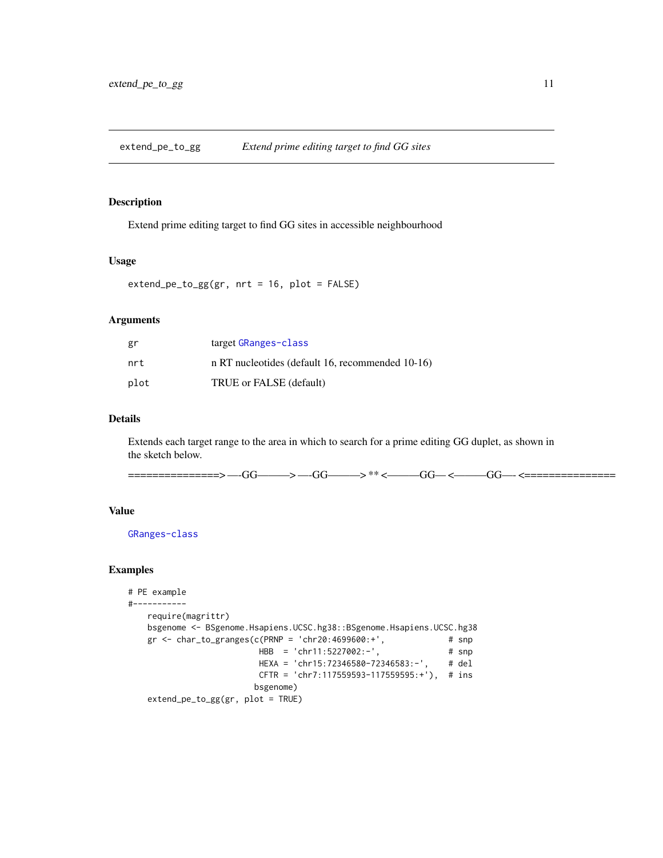<span id="page-10-0"></span>extend\_pe\_to\_gg *Extend prime editing target to find GG sites*

#### Description

Extend prime editing target to find GG sites in accessible neighbourhood

#### Usage

extend\_pe\_to\_gg(gr, nrt = 16, plot = FALSE)

#### Arguments

| gr   | target GRanges-class                             |
|------|--------------------------------------------------|
| nrt  | n RT nucleotides (default 16, recommended 10-16) |
| plot | TRUE or FALSE (default)                          |

#### Details

Extends each target range to the area in which to search for a prime editing GG duplet, as shown in the sketch below.

===============> —-GG———> —-GG———> \*\* <———GG— <———GG—- <===============

#### Value

[GRanges-class](#page-0-0)

```
# PE example
#-----------
   require(magrittr)
   bsgenome <- BSgenome.Hsapiens.UCSC.hg38::BSgenome.Hsapiens.UCSC.hg38
   gr \le - char_to_granges(c(PRNP = 'chr20:4699600:+', \qquad # snp
                         HBB = 'chr11:5227002:-', # snp
                         HEXA = 'chr15:72346580-72346583:-', # del
                         CFTR = 'chr7:117559593-117559595:+'), # ins
                        bsgenome)
   extend_pe_to_gg(gr, plot = TRUE)
```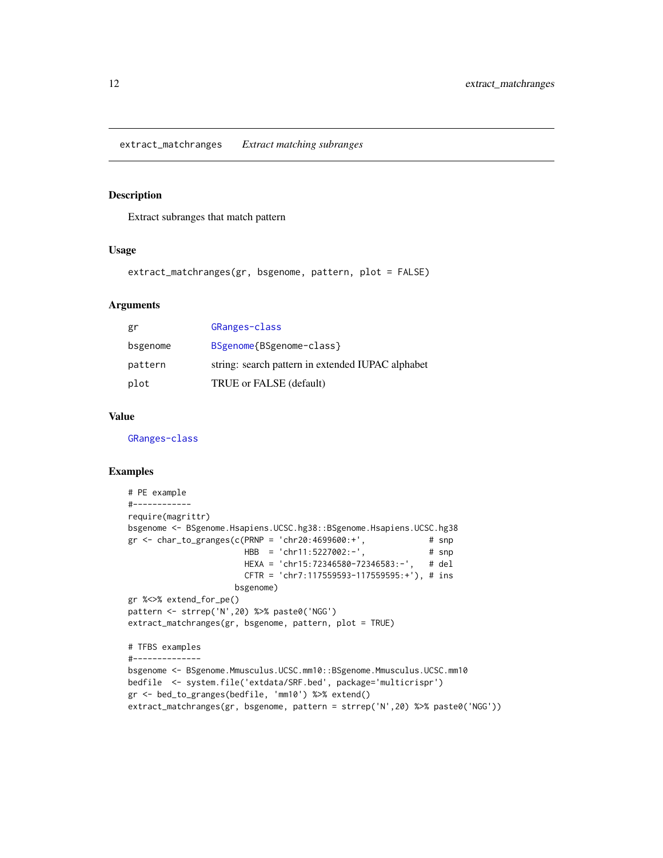<span id="page-11-0"></span>extract\_matchranges *Extract matching subranges*

#### Description

Extract subranges that match pattern

#### Usage

extract\_matchranges(gr, bsgenome, pattern, plot = FALSE)

#### Arguments

| gr       | GRanges-class                                     |
|----------|---------------------------------------------------|
| bsgenome | BSgenome{BSgenome-class}                          |
| pattern  | string: search pattern in extended IUPAC alphabet |
| plot     | TRUE or FALSE (default)                           |

#### Value

[GRanges-class](#page-0-0)

```
# PE example
#------------
require(magrittr)
bsgenome <- BSgenome.Hsapiens.UCSC.hg38::BSgenome.Hsapiens.UCSC.hg38
gr \le char_to_granges(c(PRNP = 'chr20:4699600:+', # snp
                       HBB = 'chr11:5227002:-', # snpHEXA = 'chr15:72346580-72346583:-', # del
                       CFTR = 'chr7:117559593-117559595:+'), # ins
                     bsgenome)
gr %<>% extend_for_pe()
pattern <- strrep('N',20) %>% paste0('NGG')
extract_matchranges(gr, bsgenome, pattern, plot = TRUE)
# TFBS examples
#--------------
bsgenome <- BSgenome.Mmusculus.UCSC.mm10::BSgenome.Mmusculus.UCSC.mm10
bedfile <- system.file('extdata/SRF.bed', package='multicrispr')
gr <- bed_to_granges(bedfile, 'mm10') %>% extend()
extract_matchranges(gr, bsgenome, pattern = strrep('N',20) %>% paste0('NGG'))
```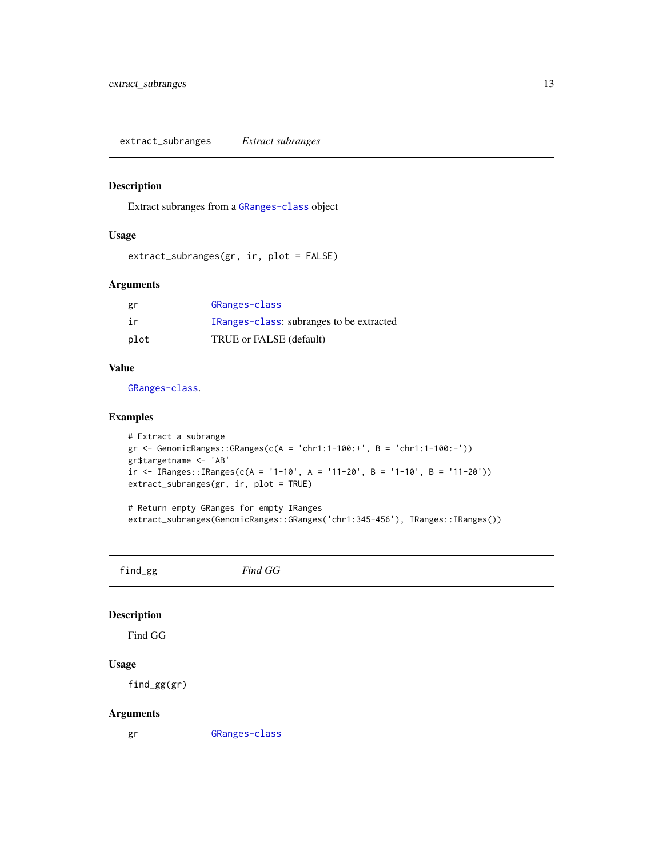<span id="page-12-0"></span>extract\_subranges *Extract subranges*

#### Description

Extract subranges from a [GRanges-class](#page-0-0) object

#### Usage

extract\_subranges(gr, ir, plot = FALSE)

#### Arguments

| gr   | GRanges-class                            |
|------|------------------------------------------|
| ir   | IRanges-class: subranges to be extracted |
| plot | TRUE or FALSE (default)                  |

#### Value

[GRanges-class](#page-0-0).

#### Examples

```
# Extract a subrange
gr <- GenomicRanges::GRanges(c(A = 'chr1:1-100:+', B = 'chr1:1-100:-'))
gr$targetname <- 'AB'
ir <- IRanges::IRanges(c(A = '1-10', A = '11-20', B = '1-10', B = '11-20'))
extract_subranges(gr, ir, plot = TRUE)
```
# Return empty GRanges for empty IRanges extract\_subranges(GenomicRanges::GRanges('chr1:345-456'), IRanges::IRanges())

find\_gg *Find GG*

#### Description

Find GG

#### Usage

find\_gg(gr)

#### Arguments

gr [GRanges-class](#page-0-0)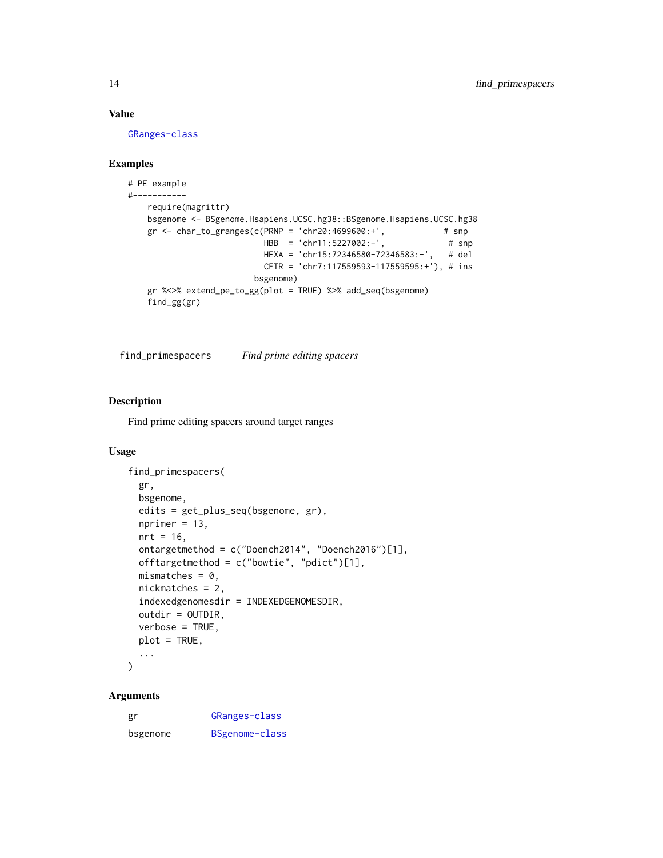#### Value

[GRanges-class](#page-0-0)

#### Examples

```
# PE example
#-----------
   require(magrittr)
   bsgenome <- BSgenome.Hsapiens.UCSC.hg38::BSgenome.Hsapiens.UCSC.hg38
   gr <- char_to_granges(c(PRNP = 'chr20:4699600:+', \qquad# snp
                          HBB = 'chr11:5227002:-', # snp
                          HEXA = 'chr15:72346580-72346583:-', # del
                          CFTR = 'chr7:117559593-117559595:+'), # ins
                        bsgenome)
   gr %<>% extend_pe_to_gg(plot = TRUE) %>% add_seq(bsgenome)
   find_gg(gr)
```
<span id="page-13-1"></span>find\_primespacers *Find prime editing spacers*

#### Description

Find prime editing spacers around target ranges

#### Usage

```
find_primespacers(
  gr,
 bsgenome,
 edits = get_plus_seq(bsgenome, gr),
 nprime = 13,
 nrt = 16,
 ontargetmethod = c("Doench2014", "Doench2016")[1],
 offtargetmethod = c("bowtie", "pdict")[1],mismatches = 0,
 nickmatches = 2,
  indexedgenomesdir = INDEXEDGENOMESDIR,
 outdir = OUTDIR,
 verbose = TRUE,
 plot = TRUE,
  ...
)
```
#### Arguments

| gr       | GRanges-class  |
|----------|----------------|
| bsgenome | BSgenome-class |

<span id="page-13-0"></span>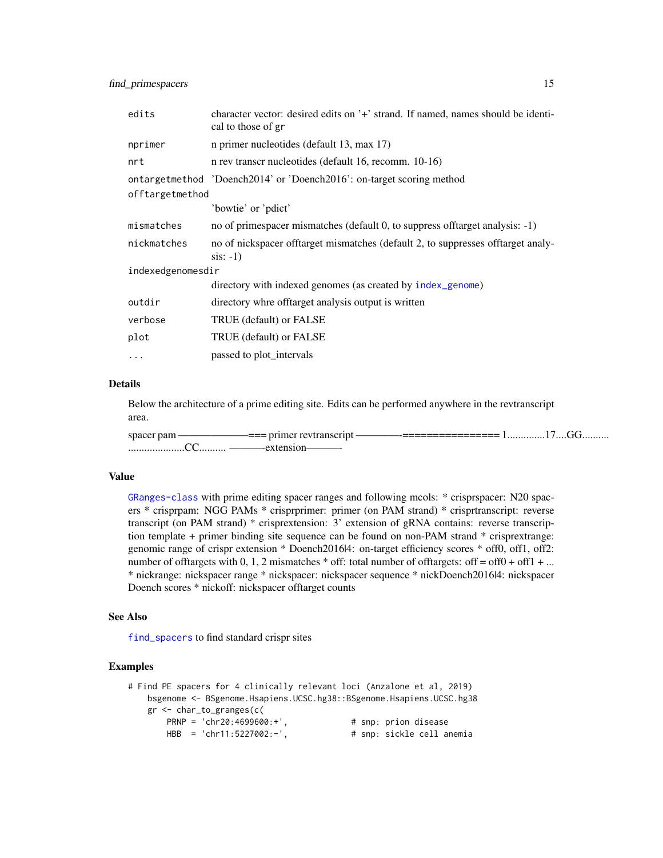<span id="page-14-0"></span>

| edits             | character vector: desired edits on '+' strand. If named, names should be identi-<br>cal to those of gr |  |
|-------------------|--------------------------------------------------------------------------------------------------------|--|
| nprimer           | n primer nucleotides (default 13, max 17)                                                              |  |
| nrt               | n rev transcr nucleotides (default 16, recomm. 10-16)                                                  |  |
|                   | ontargetmethod 'Doench2014' or 'Doench2016': on-target scoring method                                  |  |
| offtargetmethod   |                                                                                                        |  |
|                   | 'bowtie' or 'pdict'                                                                                    |  |
| mismatches        | no of primespacer mismatches (default 0, to suppress offtarget analysis: -1)                           |  |
| nickmatches       | no of nickspacer offtarget mismatches (default 2, to suppresses offtarget analy-<br>$sis: -1)$         |  |
| indexedgenomesdir |                                                                                                        |  |
|                   | directory with indexed genomes (as created by index_genome)                                            |  |
| outdir            | directory whre offtarget analysis output is written                                                    |  |
| verbose           | TRUE (default) or FALSE                                                                                |  |
| plot              | TRUE (default) or FALSE                                                                                |  |
|                   | passed to plot_intervals                                                                               |  |

#### Details

Below the architecture of a prime editing site. Edits can be performed anywhere in the revtranscript area.

spacer pam ——————–=== primer revtranscript ————-================ 1..............17....GG.......... .....................CC.......... ———-extension———-

#### Value

[GRanges-class](#page-0-0) with prime editing spacer ranges and following mcols: \* crisprspacer: N20 spacers \* crisprpam: NGG PAMs \* crisprprimer: primer (on PAM strand) \* crisprtranscript: reverse transcript (on PAM strand) \* crisprextension: 3' extension of gRNA contains: reverse transcription template + primer binding site sequence can be found on non-PAM strand \* crisprextrange: genomic range of crispr extension \* Doench2016|4: on-target efficiency scores \* off0, off1, off2: number of offtargets with 0, 1, 2 mismatches  $*$  off: total number of offtargets: off = off0 + off1 + ... \* nickrange: nickspacer range \* nickspacer: nickspacer sequence \* nickDoench2016|4: nickspacer Doench scores \* nickoff: nickspacer offtarget counts

#### See Also

[find\\_spacers](#page-15-1) to find standard crispr sites

```
# Find PE spacers for 4 clinically relevant loci (Anzalone et al, 2019)
    bsgenome <- BSgenome.Hsapiens.UCSC.hg38::BSgenome.Hsapiens.UCSC.hg38
    gr <- char_to_granges(c(
        PRNP = 'chr20:4699600:+', <br>
HBB = 'chr11:5227002:-', # snp: sickle cell are
                                              # snp: sickle cell anemia
```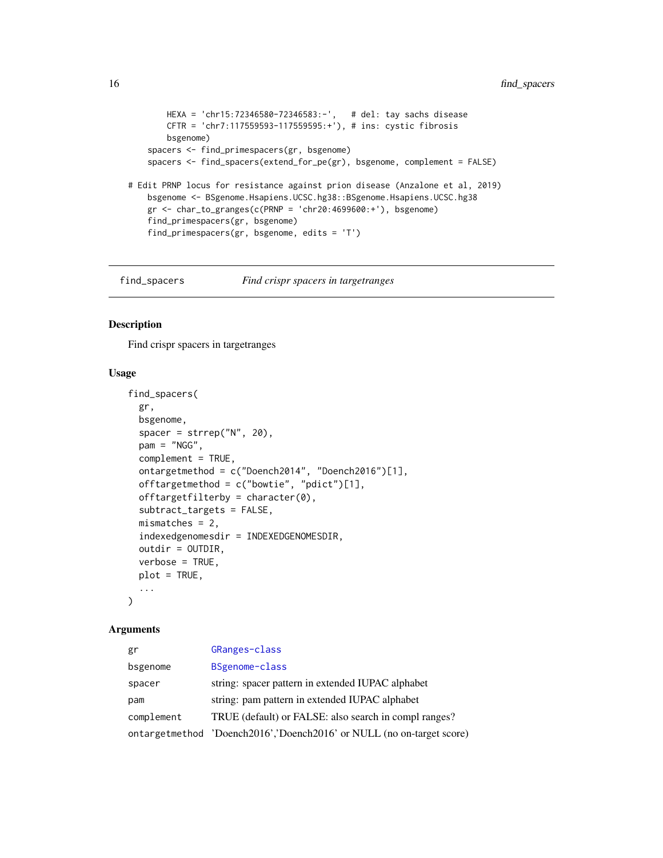```
HEXA = 'chr15:72346580-72346583:-', # del: tay sachs disease
       CFTR = 'chr7:117559593-117559595:+'), # ins: cystic fibrosis
       bsgenome)
    spacers <- find_primespacers(gr, bsgenome)
    spacers <- find_spacers(extend_for_pe(gr), bsgenome, complement = FALSE)
# Edit PRNP locus for resistance against prion disease (Anzalone et al, 2019)
   bsgenome <- BSgenome.Hsapiens.UCSC.hg38::BSgenome.Hsapiens.UCSC.hg38
   gr <- char_to_granges(c(PRNP = 'chr20:4699600:+'), bsgenome)
   find_primespacers(gr, bsgenome)
   find_primespacers(gr, bsgenome, edits = 'T')
```
<span id="page-15-1"></span>

find\_spacers *Find crispr spacers in targetranges*

#### Description

Find crispr spacers in targetranges

#### Usage

```
find_spacers(
 gr,
 bsgenome,
  space = strep("N", 20),pam = "NGG",complement = TRUE,
 ontargetmethod = c("Doench2014", "Doench2016")[1],
 offtargetmethod = c("bowtie", "pdict")[1],
 offtargetfilterby = character(0),
  subtract_targets = FALSE,
 mismatches = 2,
 indexedgenomesdir = INDEXEDGENOMESDIR,
 outdir = OUTDIR,
 verbose = TRUE,
 plot = TRUE,
  ...
)
```
#### Arguments

| gr         | GRanges-class                                                         |
|------------|-----------------------------------------------------------------------|
| bsgenome   | BSgenome-class                                                        |
| spacer     | string: spacer pattern in extended IUPAC alphabet                     |
| pam        | string: pam pattern in extended IUPAC alphabet                        |
| complement | TRUE (default) or FALSE: also search in compl ranges?                 |
|            | ontargetmethod 'Doench2016','Doench2016' or NULL (no on-target score) |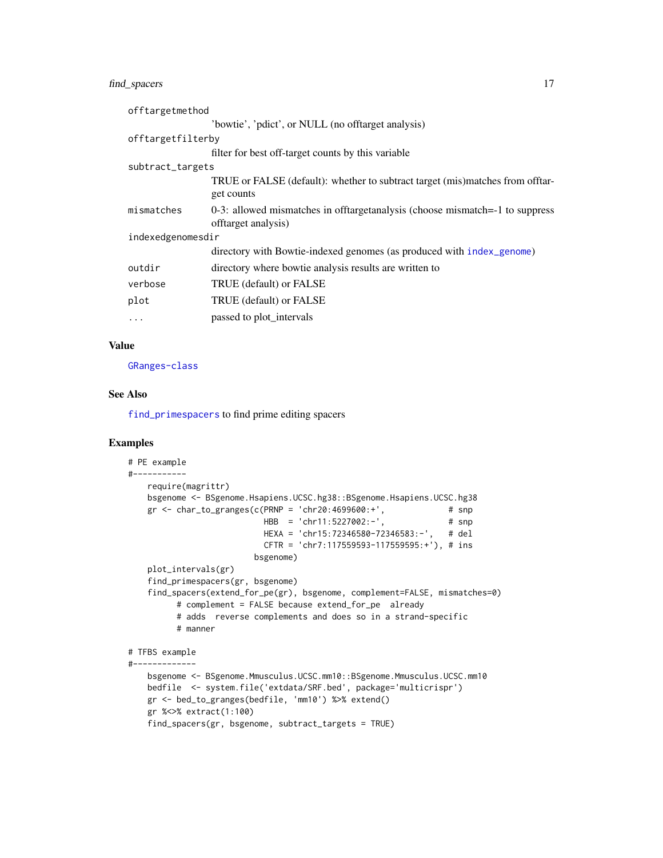#### <span id="page-16-0"></span>find\_spacers 17

| offtargetmethod   |                                                                                                     |
|-------------------|-----------------------------------------------------------------------------------------------------|
|                   | 'bowtie', 'pdict', or NULL (no offtarget analysis)                                                  |
| offtargetfilterby |                                                                                                     |
|                   | filter for best off-target counts by this variable                                                  |
| subtract_targets  |                                                                                                     |
|                   | TRUE or FALSE (default): whether to subtract target (mis)matches from offtar-<br>get counts         |
| mismatches        | 0-3: allowed mismatches in offtargetanalysis (choose mismatch=-1 to suppress<br>offtarget analysis) |
| indexedgenomesdir |                                                                                                     |
|                   | directory with Bowtie-indexed genomes (as produced with index_genome)                               |
| outdir            | directory where bowtie analysis results are written to                                              |
| verbose           | TRUE (default) or FALSE                                                                             |
| plot              | TRUE (default) or FALSE                                                                             |
| $\cdots$          | passed to plot_intervals                                                                            |

#### Value

[GRanges-class](#page-0-0)

#### See Also

[find\\_primespacers](#page-13-1) to find prime editing spacers

```
# PE example
#-----------
   require(magrittr)
   bsgenome <- BSgenome.Hsapiens.UCSC.hg38::BSgenome.Hsapiens.UCSC.hg38
   gr <- char_to_granges(c(PRNP = 'chr20:4699600:+', # snp
                          HBB = 'chr11:5227002:-', # snp
                          HEXA = 'chr15:72346580-72346583:-', # del
                          CFTR = 'chr7:117559593-117559595:+'), # ins
                        bsgenome)
   plot_intervals(gr)
   find_primespacers(gr, bsgenome)
   find_spacers(extend_for_pe(gr), bsgenome, complement=FALSE, mismatches=0)
         # complement = FALSE because extend_for_pe already
         # adds reverse complements and does so in a strand-specific
         # manner
# TFBS example
#-------------
```

```
bsgenome <- BSgenome.Mmusculus.UCSC.mm10::BSgenome.Mmusculus.UCSC.mm10
bedfile <- system.file('extdata/SRF.bed', package='multicrispr')
gr <- bed_to_granges(bedfile, 'mm10') %>% extend()
gr %<>% extract(1:100)
find_spacers(gr, bsgenome, subtract_targets = TRUE)
```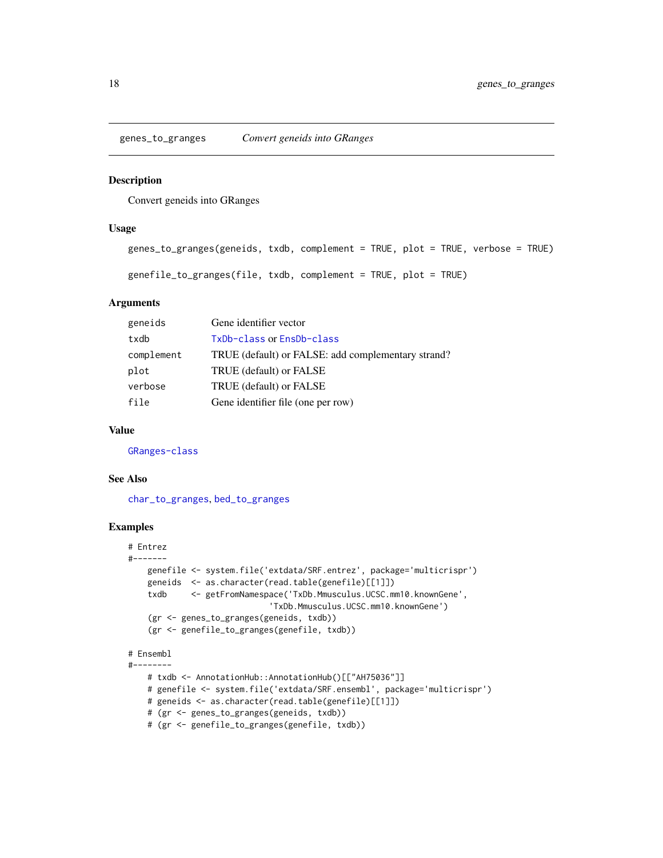<span id="page-17-1"></span><span id="page-17-0"></span>genes\_to\_granges *Convert geneids into GRanges*

#### Description

Convert geneids into GRanges

#### Usage

```
genes_to_granges(geneids, txdb, complement = TRUE, plot = TRUE, verbose = TRUE)
genefile_to_granges(file, txdb, complement = TRUE, plot = TRUE)
```
#### Arguments

| geneids    | Gene identifier vector                             |
|------------|----------------------------------------------------|
| txdb       | TxDb-class or EnsDb-class                          |
| complement | TRUE (default) or FALSE: add complementary strand? |
| plot       | TRUE (default) or FALSE                            |
| verbose    | TRUE (default) or FALSE                            |
| file       | Gene identifier file (one per row)                 |

#### Value

[GRanges-class](#page-0-0)

#### See Also

[char\\_to\\_granges](#page-7-1), [bed\\_to\\_granges](#page-6-1)

```
# Entrez
#-------
   genefile <- system.file('extdata/SRF.entrez', package='multicrispr')
   geneids <- as.character(read.table(genefile)[[1]])
   txdb <- getFromNamespace('TxDb.Mmusculus.UCSC.mm10.knownGene',
                             'TxDb.Mmusculus.UCSC.mm10.knownGene')
    (gr <- genes_to_granges(geneids, txdb))
    (gr <- genefile_to_granges(genefile, txdb))
# Ensembl
#--------
   # txdb <- AnnotationHub::AnnotationHub()[["AH75036"]]
   # genefile <- system.file('extdata/SRF.ensembl', package='multicrispr')
   # geneids <- as.character(read.table(genefile)[[1]])
   # (gr <- genes_to_granges(geneids, txdb))
   # (gr <- genefile_to_granges(genefile, txdb))
```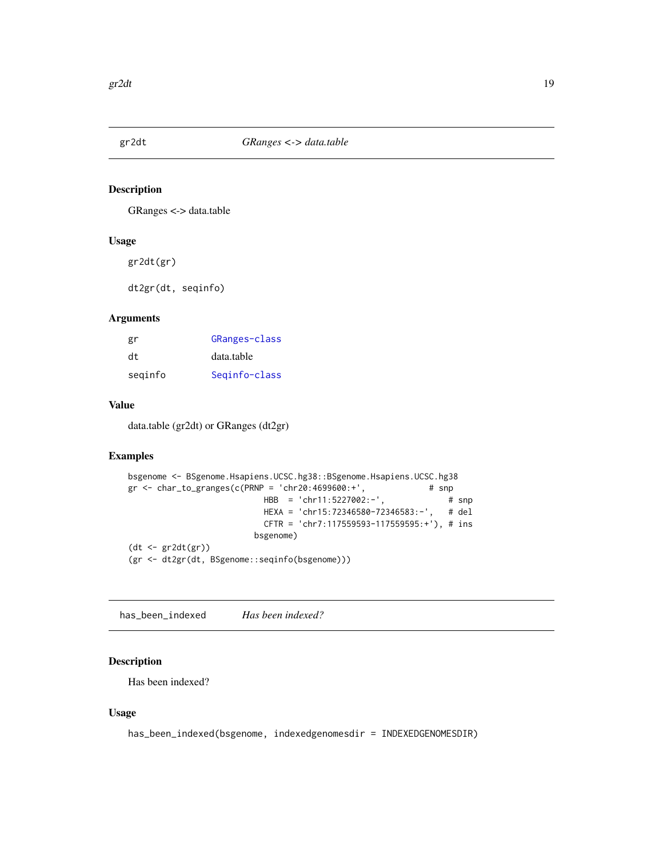<span id="page-18-0"></span>

#### Description

GRanges <-> data.table

#### Usage

gr2dt(gr)

dt2gr(dt, seqinfo)

#### Arguments

| gr      | GRanges-class |
|---------|---------------|
| dt.     | data.table    |
| seginfo | Seginfo-class |

#### Value

data.table (gr2dt) or GRanges (dt2gr)

#### Examples

```
bsgenome <- BSgenome.Hsapiens.UCSC.hg38::BSgenome.Hsapiens.UCSC.hg38
gr \le char_to_granges(c(PRNP = 'chr20:4699600:+', # snp
                         HBB = 'chr11:5227002:-', # snp
                         HEXA = 'chr15:72346580-72346583:-', # del
                         CFTR = 'chr7:117559593-117559595:+'), # ins
                        bsgenome)
(dt <- gr2dt(gr))
(gr <- dt2gr(dt, BSgenome::seqinfo(bsgenome)))
```
has\_been\_indexed *Has been indexed?*

#### Description

Has been indexed?

#### Usage

has\_been\_indexed(bsgenome, indexedgenomesdir = INDEXEDGENOMESDIR)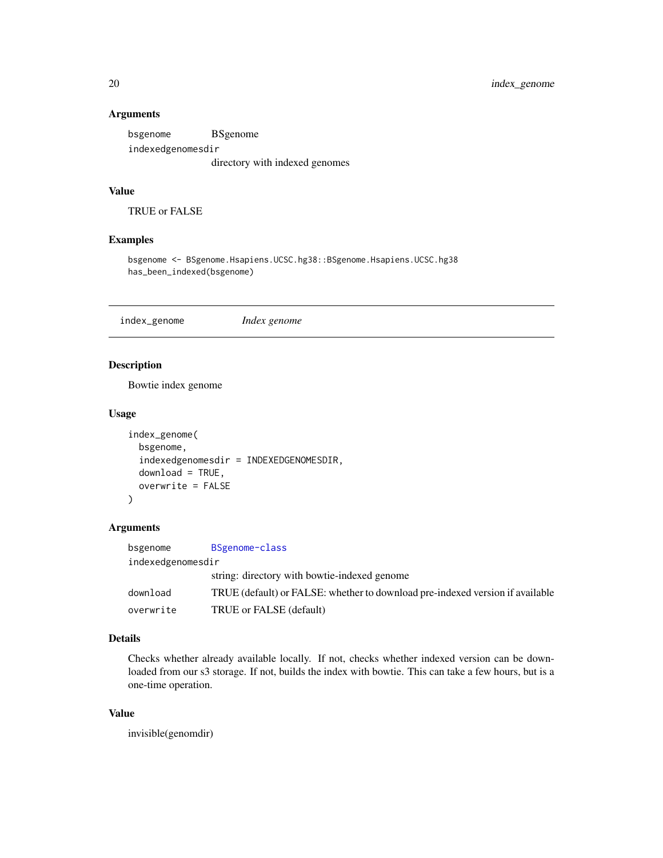#### <span id="page-19-0"></span>Arguments

bsgenome BSgenome indexedgenomesdir directory with indexed genomes

#### Value

TRUE or FALSE

#### Examples

bsgenome <- BSgenome.Hsapiens.UCSC.hg38::BSgenome.Hsapiens.UCSC.hg38 has\_been\_indexed(bsgenome)

<span id="page-19-1"></span>index\_genome *Index genome*

#### Description

Bowtie index genome

#### Usage

```
index_genome(
 bsgenome,
  indexedgenomesdir = INDEXEDGENOMESDIR,
 download = TRUE,
  overwrite = FALSE
)
```
#### Arguments

| bsgenome          | BSgenome-class                                                                |
|-------------------|-------------------------------------------------------------------------------|
| indexedgenomesdir |                                                                               |
|                   | string: directory with bowtie-indexed genome                                  |
| download          | TRUE (default) or FALSE: whether to download pre-indexed version if available |
| overwrite         | TRUE or FALSE (default)                                                       |

#### Details

Checks whether already available locally. If not, checks whether indexed version can be downloaded from our s3 storage. If not, builds the index with bowtie. This can take a few hours, but is a one-time operation.

#### Value

invisible(genomdir)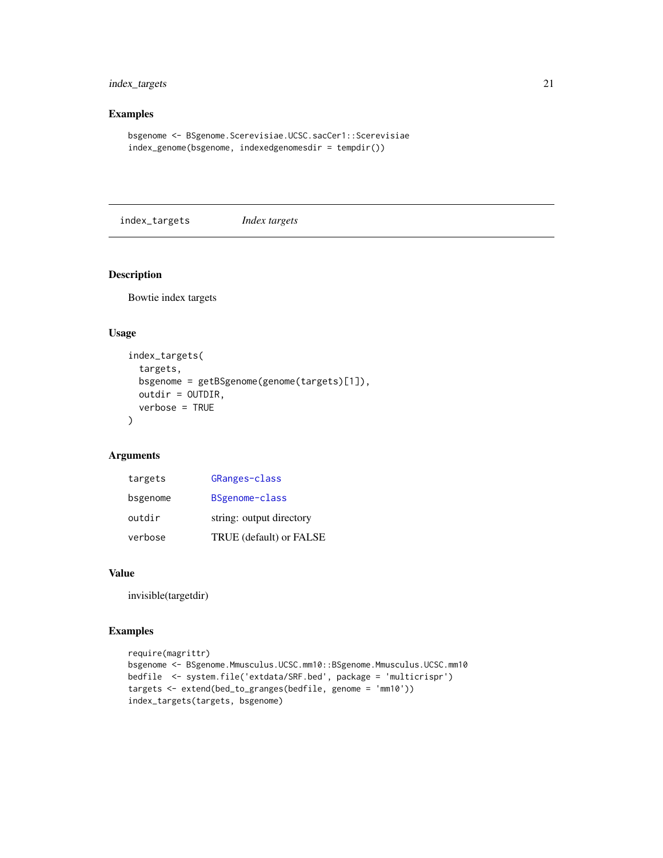#### <span id="page-20-0"></span>index\_targets 21

#### Examples

```
bsgenome <- BSgenome.Scerevisiae.UCSC.sacCer1::Scerevisiae
index_genome(bsgenome, indexedgenomesdir = tempdir())
```
index\_targets *Index targets*

#### Description

Bowtie index targets

#### Usage

```
index_targets(
  targets,
 bsgenome = getBSgenome(genome(targets)[1]),
 outdir = OUTDIR,
 verbose = TRUE
)
```
#### Arguments

| targets  | GRanges-class            |
|----------|--------------------------|
| bsgenome | BSgenome-class           |
| outdir   | string: output directory |
| verbose  | TRUE (default) or FALSE  |

#### Value

invisible(targetdir)

```
require(magrittr)
bsgenome <- BSgenome.Mmusculus.UCSC.mm10::BSgenome.Mmusculus.UCSC.mm10
bedfile <- system.file('extdata/SRF.bed', package = 'multicrispr')
targets <- extend(bed_to_granges(bedfile, genome = 'mm10'))
index_targets(targets, bsgenome)
```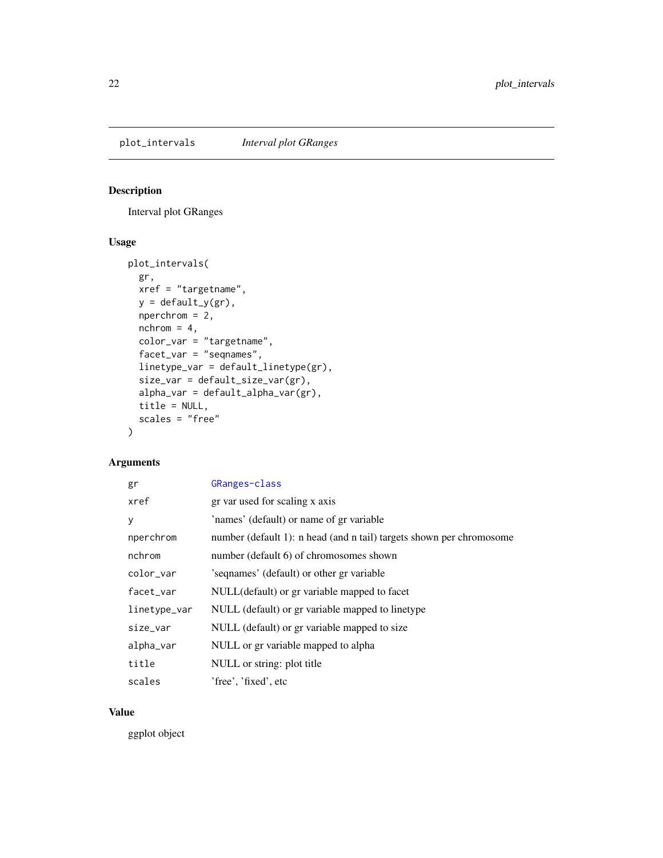<span id="page-21-1"></span><span id="page-21-0"></span>plot\_intervals *Interval plot GRanges*

### Description

Interval plot GRanges

#### Usage

```
plot_intervals(
 gr,
 xref = "targetname",
 y = default_y(gr),
 nperchrom = 2,
 nchrom = 4,
 color_var = "targetname",
 facet_var = "seqnames",
 linetype_var = default_linetype(gr),
 size_var = default_size_var(gr),
 alpha_var = default_alpha_var(gr),
 title = NULL,
 scales = "free"
)
```
#### Arguments

| gr           | GRanges-class                                                        |
|--------------|----------------------------------------------------------------------|
| xref         | gr var used for scaling x axis                                       |
| y            | 'names' (default) or name of gr variable                             |
| nperchrom    | number (default 1): n head (and n tail) targets shown per chromosome |
| nchrom       | number (default 6) of chromosomes shown                              |
| color_var    | 's equames' (default) or other gr variable                           |
| facet_var    | NULL(default) or gr variable mapped to facet                         |
| linetype_var | NULL (default) or gr variable mapped to linetype                     |
| size_var     | NULL (default) or gr variable mapped to size                         |
| alpha_var    | NULL or gr variable mapped to alpha                                  |
| title        | NULL or string: plot title                                           |
| scales       | 'free', 'fixed', etc                                                 |

#### Value

ggplot object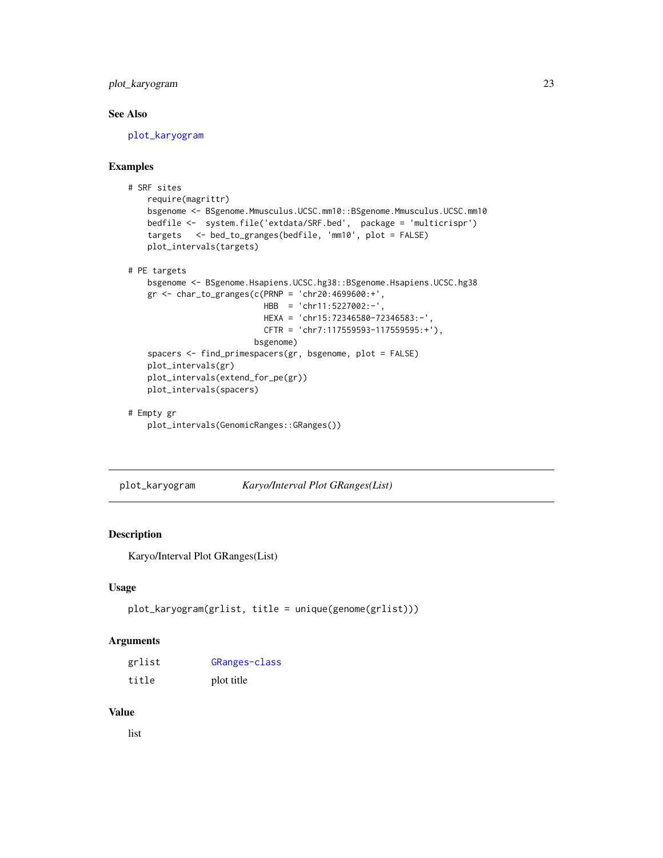#### <span id="page-22-0"></span>plot\_karyogram 23

#### See Also

[plot\\_karyogram](#page-22-1)

#### Examples

```
# SRF sites
   require(magrittr)
   bsgenome <- BSgenome.Mmusculus.UCSC.mm10::BSgenome.Mmusculus.UCSC.mm10
   bedfile <- system.file('extdata/SRF.bed', package = 'multicrispr')
   targets <- bed_to_granges(bedfile, 'mm10', plot = FALSE)
   plot_intervals(targets)
# PE targets
   bsgenome <- BSgenome.Hsapiens.UCSC.hg38::BSgenome.Hsapiens.UCSC.hg38
   gr <- char_to_granges(c(PRNP = 'chr20:4699600:+',
                           HBB = 'chr11:5227002:-',
                           HEXA = 'chr15:72346580-72346583:-',
                           CFTR = 'chr7:117559593-117559595:+'),
                         bsgenome)
    spacers <- find_primespacers(gr, bsgenome, plot = FALSE)
   plot_intervals(gr)
   plot_intervals(extend_for_pe(gr))
   plot_intervals(spacers)
# Empty gr
```

```
plot_intervals(GenomicRanges::GRanges())
```
<span id="page-22-1"></span>plot\_karyogram *Karyo/Interval Plot GRanges(List)*

#### Description

Karyo/Interval Plot GRanges(List)

#### Usage

```
plot_karyogram(grlist, title = unique(genome(grlist)))
```
#### Arguments

| grlist | GRanges-class |
|--------|---------------|
| title  | plot title    |

#### Value

list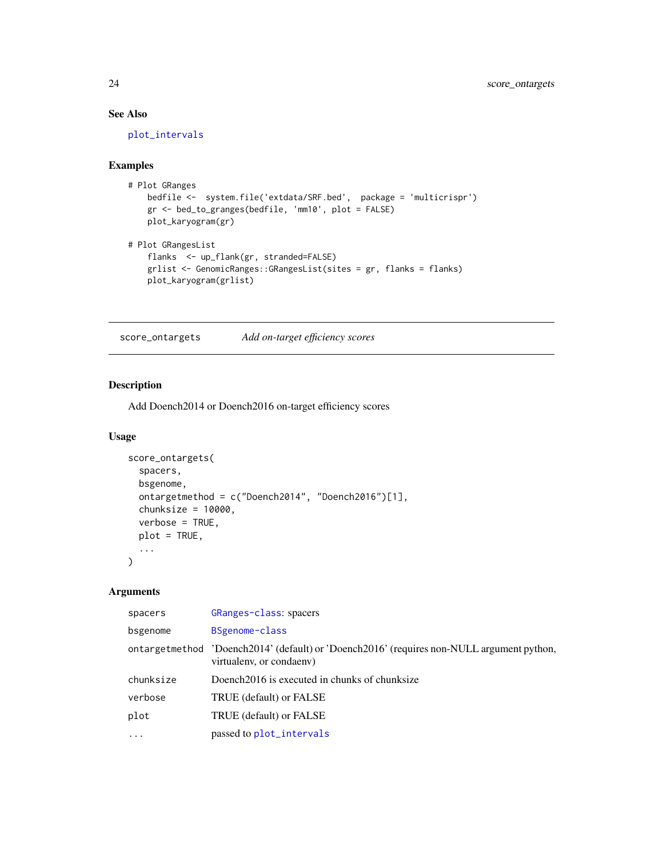#### See Also

[plot\\_intervals](#page-21-1)

#### Examples

```
# Plot GRanges
   bedfile <- system.file('extdata/SRF.bed', package = 'multicrispr')
   gr <- bed_to_granges(bedfile, 'mm10', plot = FALSE)
   plot_karyogram(gr)
# Plot GRangesList
   flanks <- up_flank(gr, stranded=FALSE)
   grlist <- GenomicRanges::GRangesList(sites = gr, flanks = flanks)
   plot_karyogram(grlist)
```
score\_ontargets *Add on-target efficiency scores*

#### Description

Add Doench2014 or Doench2016 on-target efficiency scores

#### Usage

```
score_ontargets(
  spacers,
 bsgenome,
 ontargetmethod = c("Doench2014", "Doench2016")[1],
  chunksize = 10000,verbose = TRUE,
 plot = TRUE,
  ...
\mathcal{E}
```
#### Arguments

| spacers   | GRanges-class: spacers                                                                                                |
|-----------|-----------------------------------------------------------------------------------------------------------------------|
| bsgenome  | BSgenome-class                                                                                                        |
|           | ontargetmethod 'Doench2014' (default) or 'Doench2016' (requires non-NULL argument python,<br>virtualeny, or condaeny) |
| chunksize | Doench 2016 is executed in chunks of chunksize                                                                        |
| verbose   | TRUE (default) or FALSE                                                                                               |
| plot      | TRUE (default) or FALSE                                                                                               |
| $\ddotsc$ | passed to plot_intervals                                                                                              |

<span id="page-23-0"></span>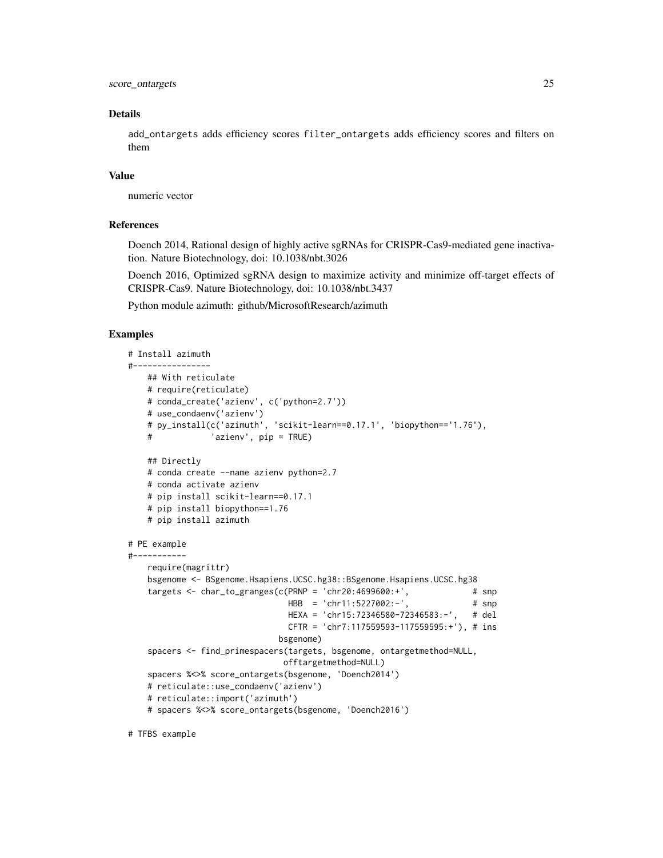score\_ontargets 25

#### Details

add\_ontargets adds efficiency scores filter\_ontargets adds efficiency scores and filters on them

#### Value

numeric vector

#### References

Doench 2014, Rational design of highly active sgRNAs for CRISPR-Cas9-mediated gene inactivation. Nature Biotechnology, doi: 10.1038/nbt.3026

Doench 2016, Optimized sgRNA design to maximize activity and minimize off-target effects of CRISPR-Cas9. Nature Biotechnology, doi: 10.1038/nbt.3437

Python module azimuth: github/MicrosoftResearch/azimuth

#### Examples

```
# Install azimuth
#----------------
   ## With reticulate
   # require(reticulate)
   # conda_create('azienv', c('python=2.7'))
   # use_condaenv('azienv')
   # py_install(c('azimuth', 'scikit-learn==0.17.1', 'biopython=='1.76'),
   # 'azienv', pip = TRUE)
   ## Directly
   # conda create --name azienv python=2.7
   # conda activate azienv
   # pip install scikit-learn==0.17.1
   # pip install biopython==1.76
   # pip install azimuth
# PE example
#-----------
   require(magrittr)
   bsgenome <- BSgenome.Hsapiens.UCSC.hg38::BSgenome.Hsapiens.UCSC.hg38
   targets <- char_to_granges(c(PRNP = 'chr20:4699600:+', \# snp
                               HBB = 'chr11:5227002:-', # snp
                               HEXA = 'chr15:72346580-72346583:-', # del
                               CFTR = 'chr7:117559593-117559595:+'), # ins
                             bsgenome)
   spacers <- find_primespacers(targets, bsgenome, ontargetmethod=NULL,
                              offtargetmethod=NULL)
   spacers %<>% score_ontargets(bsgenome, 'Doench2014')
   # reticulate::use_condaenv('azienv')
   # reticulate::import('azimuth')
   # spacers %<>% score_ontargets(bsgenome, 'Doench2016')
```
# TFBS example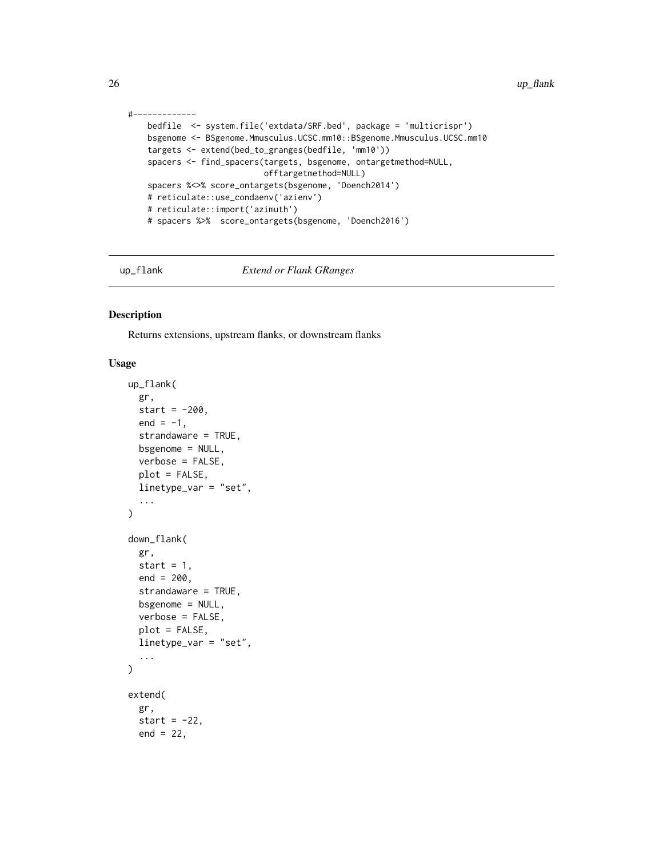```
#-------------
   bedfile <- system.file('extdata/SRF.bed', package = 'multicrispr')
   bsgenome <- BSgenome.Mmusculus.UCSC.mm10::BSgenome.Mmusculus.UCSC.mm10
   targets <- extend(bed_to_granges(bedfile, 'mm10'))
   spacers <- find_spacers(targets, bsgenome, ontargetmethod=NULL,
                           offtargetmethod=NULL)
   spacers %<>% score_ontargets(bsgenome, 'Doench2014')
   # reticulate::use_condaenv('azienv')
   # reticulate::import('azimuth')
   # spacers %>% score_ontargets(bsgenome, 'Doench2016')
```
up\_flank *Extend or Flank GRanges*

#### Description

Returns extensions, upstream flanks, or downstream flanks

#### Usage

```
up_flank(
  gr,
  start = -200,
  end = -1,
  strandaware = TRUE,
  bsgenome = NULL,
  verbose = FALSE,
  plot = FALSE,
  linetype_var = "set",
  ...
\mathcal{E}down_flank(
  gr,
  start = 1,
  end = 200,strandaware = TRUE,
 bsgenome = NULL,
  verbose = FALSE,
  plot = FALSE,
  linetype_var = "set",
  ...
\lambdaextend(
  gr,
  start = -22,
  end = 22,
```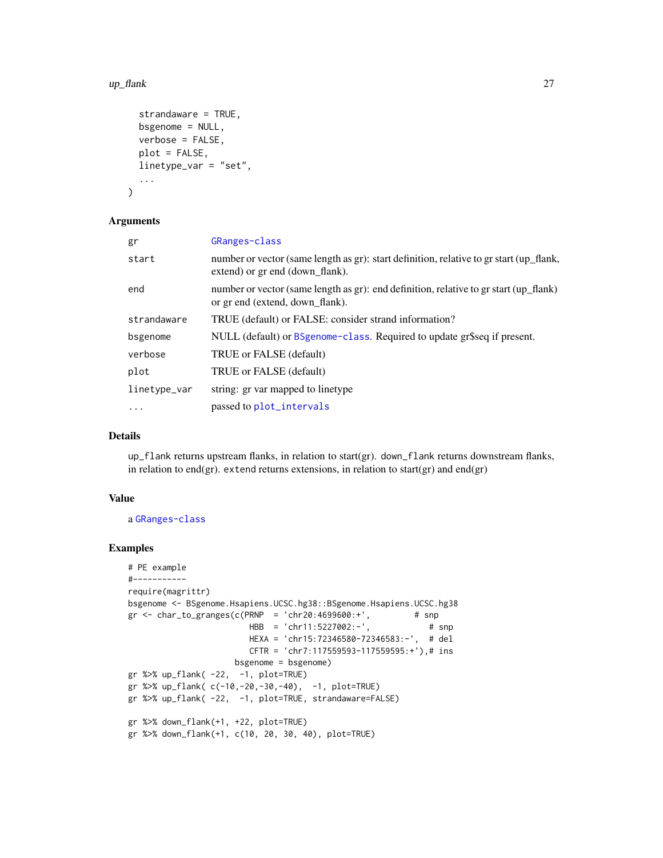#### <span id="page-26-0"></span>up\_flank 27

```
strandaware = TRUE,
 bsgenome = NULL,
 verbose = FALSE,
 plot = FALSE,
  linetype_var = "set",
  ...
)
```
#### Arguments

| gr           | GRanges-class                                                                                                              |
|--------------|----------------------------------------------------------------------------------------------------------------------------|
| start        | number or vector (same length as gr): start definition, relative to gr start (up_flank,<br>extend) or gr end (down flank). |
| end          | number or vector (same length as gr): end definition, relative to gr start (up_flank)<br>or gr end (extend, down_flank).   |
| strandaware  | TRUE (default) or FALSE: consider strand information?                                                                      |
| bsgenome     | NULL (default) or BSgenome-class. Required to update gr\$seq if present.                                                   |
| verbose      | TRUE or FALSE (default)                                                                                                    |
| plot         | TRUE or FALSE (default)                                                                                                    |
| linetype_var | string: gr var mapped to linetype                                                                                          |
| $\ddots$     | passed to plot_intervals                                                                                                   |
|              |                                                                                                                            |

#### Details

up\_flank returns upstream flanks, in relation to start(gr). down\_flank returns downstream flanks, in relation to end(gr). extend returns extensions, in relation to start(gr) and end(gr)

#### Value

a [GRanges-class](#page-0-0)

```
# PE example
#-----------
require(magrittr)
bsgenome <- BSgenome.Hsapiens.UCSC.hg38::BSgenome.Hsapiens.UCSC.hg38
gr <- char_to_granges(c(PRNP = 'chr20:4699600:+',
                        HBB = 'chr11:5227002:-', # snp
                        HEXA = 'chr15:72346580-72346583:-', # del
                        CFTR = 'chr7:117559593-117559595:+'),# ins
                     bsgenome = bsgenome)
gr %>% up_flank( -22, -1, plot=TRUE)
gr %>% up_flank( c(-10,-20,-30,-40), -1, plot=TRUE)
gr %>% up_flank( -22, -1, plot=TRUE, strandaware=FALSE)
gr %>% down_flank(+1, +22, plot=TRUE)
gr %>% down_flank(+1, c(10, 20, 30, 40), plot=TRUE)
```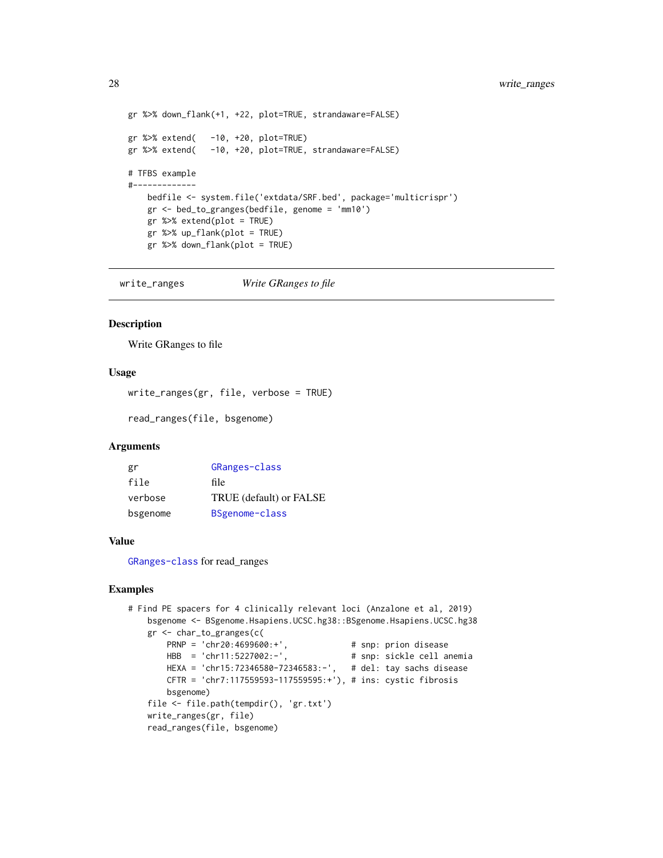```
gr %>% down_flank(+1, +22, plot=TRUE, strandaware=FALSE)
gr %>% extend( -10, +20, plot=TRUE)
gr %>% extend( -10, +20, plot=TRUE, strandaware=FALSE)
# TFBS example
#-------------
   bedfile <- system.file('extdata/SRF.bed', package='multicrispr')
   gr <- bed_to_granges(bedfile, genome = 'mm10')
   gr %>% extend(plot = TRUE)
   gr %>% up_flank(plot = TRUE)
   gr %>% down_flank(plot = TRUE)
```
write\_ranges *Write GRanges to file*

#### Description

Write GRanges to file

#### Usage

write\_ranges(gr, file, verbose = TRUE)

read\_ranges(file, bsgenome)

#### Arguments

| gr       | GRanges-class           |
|----------|-------------------------|
| file     | file                    |
| verbose  | TRUE (default) or FALSE |
| bsgenome | BSgenome-class          |

#### Value

[GRanges-class](#page-0-0) for read\_ranges

```
# Find PE spacers for 4 clinically relevant loci (Anzalone et al, 2019)
   bsgenome <- BSgenome.Hsapiens.UCSC.hg38::BSgenome.Hsapiens.UCSC.hg38
   gr <- char_to_granges(c(
       PRNP = 'chr20:4699600:+', # snp: prion disease
       HBB = 'chr11:5227002:-', # snp: sickle cell anemia
       HEXA = 'chr15:72346580-72346583:-', # del: tay sachs disease
       CFTR = 'chr7:117559593-117559595:+'), # ins: cystic fibrosis
       bsgenome)
   file <- file.path(tempdir(), 'gr.txt')
   write_ranges(gr, file)
   read_ranges(file, bsgenome)
```